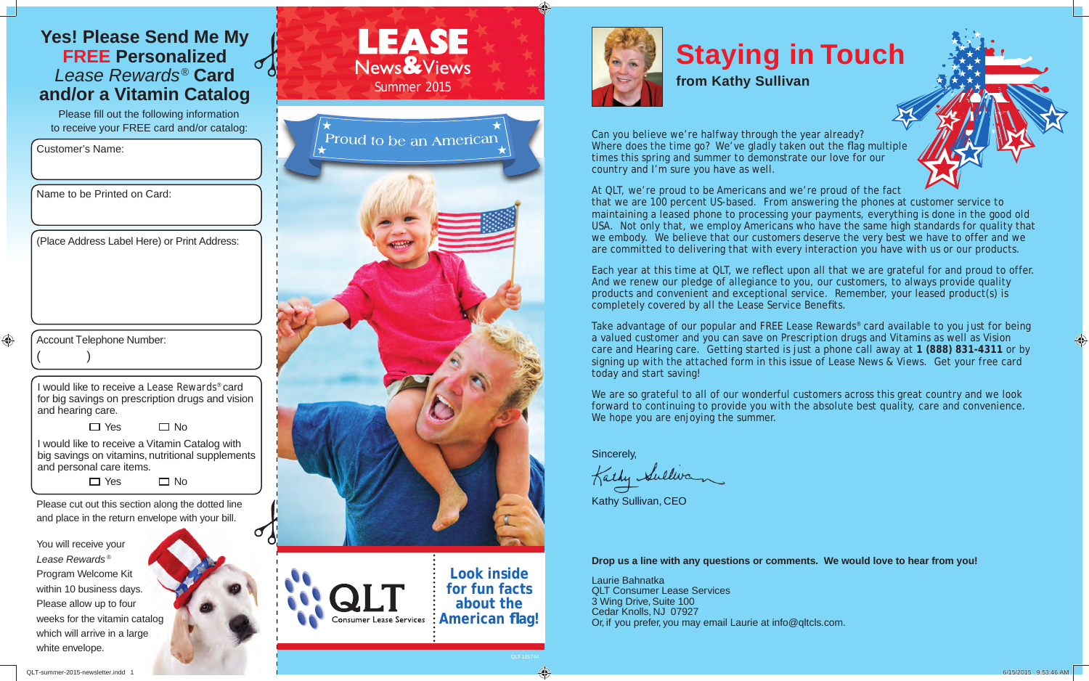#### **Yes! Please Send Me My FREE Personalized** *Lease Rewards®* **Card and/or a Vitamin Catalog**

Please fill out the following information to receive your FREE card and/or catalog:

Customer's Name:

Name to be Printed on Card:

(Place Address Label Here) or Print Address:

 $\bigoplus$  $($  )

Account Telephone Number:

I would like to receive a *Lease Rewards*® card for big savings on prescription drugs and vision and hearing care.

> □ Yes □ No

I would like to receive a Vitamin Catalog with big savings on vitamins, nutritional supplements and personal care items.

> $\Box$  Yes  $\Box$  No

Please cut out this section along the dotted line and place in the return envelope with your bill.

You will receive your *Lease Rewards* ® Program Welcome Kit within 10 business days. Please allow up to four weeks for the vitamin catalog which will arrive in a large white envelope.





## **Staying in Touch**

**from Kathy Sullivan**

Can you believe we're halfway through the year already? Where does the time go? We've gladly taken out the flag multiple times this spring and summer to demonstrate our love for our country and I'm sure you have as well.

At QLT, we're proud to be Americans and we're proud of the fact

that we are 100 percent US-based. From answering the phones at customer service to maintaining a leased phone to processing your payments, everything is done in the good old USA. Not only that, we employ Americans who have the same high standards for quality that we embody. We believe that our customers deserve the very best we have to offer and we are committed to delivering that with every interaction you have with us or our products.

Each year at this time at QLT, we reflect upon all that we are grateful for and proud to offer. And we renew our pledge of allegiance to you, our customers, to always provide quality products and convenient and exceptional service. Remember, your leased product(s) is completely covered by all the Lease Service Benefits.

Take advantage of our popular and FREE *Lease Rewards*® card available to you just for being a valued customer and you can save on Prescription drugs and Vitamins as well as Vision care and Hearing care. Getting started is just a phone call away at **1 (888) 831-4311** or by signing up with the attached form in this issue of *Lease News & Views*. Get your free card today and start saving!

We are so grateful to all of our wonderful customers across this great country and we look forward to continuing to provide you with the absolute best quality, care and convenience. We hope you are enjoying the summer.

Sincerely,

Welliva

Kathy Sullivan, CEO

**Drop us a line with any questions or comments. We would love to hear from you!**

Laurie Bahnatka QLT Consumer Lease Services 3 Wing Drive, Suite 100 Cedar Knolls, NJ 07927 Or, if you prefer, you may email Laurie at info@qltcls.com.